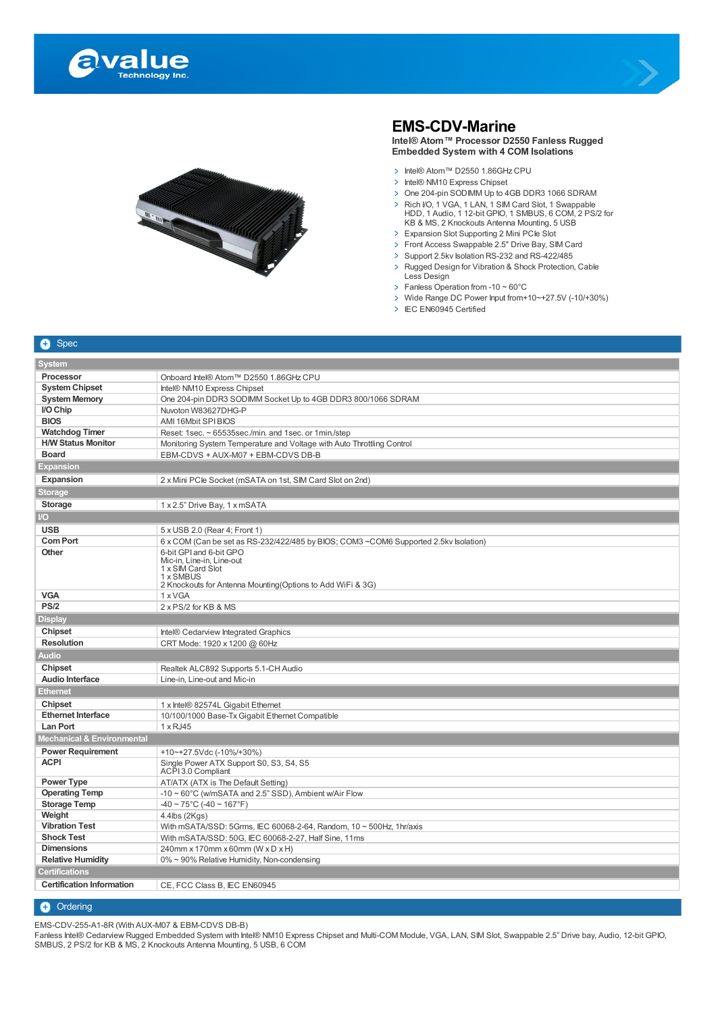





## **EMS-CDV-Marine**

**Intel® Atom™ Processor D2550 Fanless Rugged Embedded System with 4 COM Isolations**

- > Intel® Atom™ D2550 1.86GHz CPU
- > Intel® NM10 Express Chipset
- > One 204-pin SODIMM Up to 4GB DDR3 1066 SDRAM
- Rich I/O, 1 VGA, 1 LAN, 1 SIM Card Slot, 1 Swappable<br>
HDD, 1 Audio, 1 12-bit GPIO, 1 SMBUS, 6 COM, 2 PS/2 for<br>
KB & MS, 2 Knockouts Antenna Mounting, 5 USB
- > Expansion Slot Supporting 2 Mini PCIe Slot
- > Front Access Swappable 2.5" Drive Bay, SIM Card
- > Support 2.5kv Isolation RS-232 and RS-422/485
- > Rugged Design for Vibration & Shock Protection, Cable Less Design
- $\triangleright$  Fanless Operation from -10 ~ 60°C
- Wide Range DC Power Input from+10~+27.5V (-10/+30%)
- > IEC EN60945 Certified

|--|

| Processor<br>Onboard Intel® Atom™ D2550 1.86GHz CPU                                                     |  |  |
|---------------------------------------------------------------------------------------------------------|--|--|
| <b>System Chipset</b><br>Intel® NM10 Express Chipset                                                    |  |  |
| <b>System Memory</b><br>One 204-pin DDR3 SODIMM Socket Up to 4GB DDR3 800/1066 SDRAM                    |  |  |
| I/O Chip<br>Nuvoton W83627DHG-P                                                                         |  |  |
| <b>BIOS</b><br>AMI 16Mbit SPI BIOS                                                                      |  |  |
| <b>Watchdog Timer</b><br>Reset: 1sec. ~ 65535sec./min. and 1sec. or 1min./step                          |  |  |
| <b>H/W Status Monitor</b><br>Monitoring System Temperature and Voltage with Auto Throttling Control     |  |  |
| <b>Board</b><br>EBM-CDVS + AUX-M07 + EBM-CDVS DB-B                                                      |  |  |
| <b>Expansion</b>                                                                                        |  |  |
| Expansion<br>2 x Mini PCle Socket (mSATA on 1st, SIM Card Slot on 2nd)                                  |  |  |
| <b>Storage</b>                                                                                          |  |  |
| <b>Storage</b><br>1 x 2.5" Drive Bay, 1 x mSATA                                                         |  |  |
| $\overline{1}$                                                                                          |  |  |
| <b>USB</b><br>5 x USB 2.0 (Rear 4; Front 1)                                                             |  |  |
| <b>Com Port</b><br>6 x COM (Can be set as RS-232/422/485 by BIOS; COM3 ~COM6 Supported 2.5kv Isolation) |  |  |
| Other<br>6-bit GPI and 6-bit GPO                                                                        |  |  |
| Mic-in, Line-in, Line-out<br>1 x SIM Card Slot                                                          |  |  |
| 1 x SMBUS                                                                                               |  |  |
| 2 Knockouts for Antenna Mounting (Options to Add WiFi & 3G)                                             |  |  |
| <b>VGA</b><br>1 x VGA                                                                                   |  |  |
| PS/2<br>2 x PS/2 for KB & MS                                                                            |  |  |
| <b>Display</b>                                                                                          |  |  |
| Chipset<br>Intel® Cedarview Integrated Graphics                                                         |  |  |
| <b>Resolution</b><br>CRT Mode: 1920 x 1200 @ 60Hz                                                       |  |  |
| <b>Audio</b>                                                                                            |  |  |
| <b>Chipset</b><br>Realtek ALC892 Supports 5.1-CH Audio                                                  |  |  |
| Audio Interface<br>Line-in, Line-out and Mic-in                                                         |  |  |
| <b>Ethernet</b>                                                                                         |  |  |
| Chipset<br>1 x Intel® 82574L Gigabit Ethernet                                                           |  |  |
| <b>Ethernet Interface</b><br>10/100/1000 Base-Tx Gigabit Ethernet Compatible                            |  |  |
| <b>Lan Port</b><br>1 x RJ45                                                                             |  |  |
| Mechanical & Environmental                                                                              |  |  |
| <b>Power Requirement</b><br>+10~+27.5Vdc (-10%/+30%)                                                    |  |  |
| <b>ACPI</b><br>Single Power ATX Support S0, S3, S4, S5<br>ACPI 3.0 Compliant                            |  |  |
| Power Type<br>AT/ATX (ATX is The Default Setting)                                                       |  |  |
| <b>Operating Temp</b><br>$-10 \sim 60^{\circ}$ C (w/mSATA and 2.5" SSD), Ambient w/Air Flow             |  |  |
| <b>Storage Temp</b><br>$-40 \sim 75^{\circ}$ C (-40 ~ 167°F)                                            |  |  |
| Weight<br>$4.4$ lbs (2Kgs)                                                                              |  |  |
| <b>Vibration Test</b><br>With mSATA/SSD: 5Grms, IEC 60068-2-64, Random, 10 ~ 500Hz, 1hr/axis            |  |  |
| <b>Shock Test</b><br>With mSATA/SSD: 50G, IEC 60068-2-27, Half Sine, 11ms                               |  |  |
| <b>Dimensions</b><br>240mm x 170mm x 60mm (W x D x H)                                                   |  |  |
| <b>Relative Humidity</b><br>0% ~ 90% Relative Humidity, Non-condensing                                  |  |  |
| <b>Certifications</b>                                                                                   |  |  |
| <b>Certification Information</b><br>CE, FCC Class B, IEC EN60945                                        |  |  |

**+** Ordering

EMS-CDV-255-A1-8R (With AUX-M07 & EBM-CDVS DB-B)

Fanless Intel® Cedarview Rugged Embedded System with Intel® NM10 Express Chipset and Multi-COM Module, VGA, LAN, SIM Slot, Swappable 2.5" Drive bay, Audio, 12-bit GPIO, SMBUS, 2 PS/2 for KB & MS, 2 Knockouts Antenna Mounting, 5 USB, 6 COM